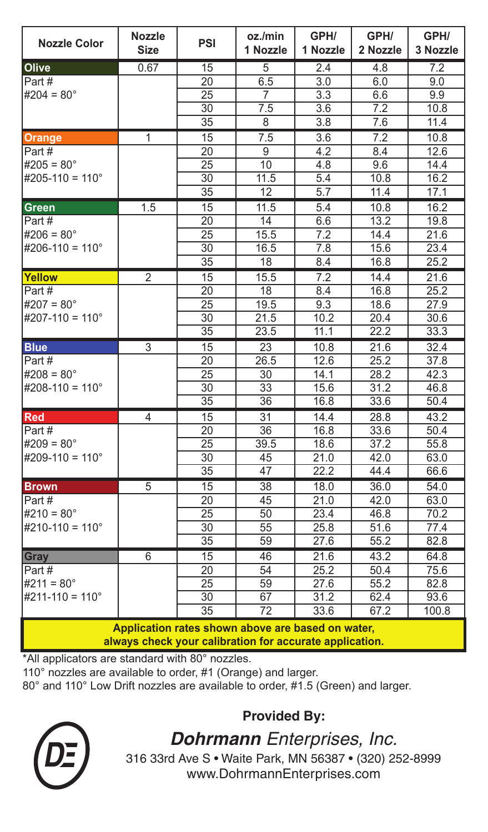| <b>Nozzle Color</b>                                                                         | <b>Nozzle</b><br><b>Size</b> | <b>PSI</b>      | oz./min<br>1 Nozzle | GPH/<br>1 Nozzle  | GPH/<br>2 Nozzle | GPH/<br>3 Nozzle |  |  |  |
|---------------------------------------------------------------------------------------------|------------------------------|-----------------|---------------------|-------------------|------------------|------------------|--|--|--|
| Olive                                                                                       | 0.67                         | 15              | 5                   | 2.4               | 4.8              | 7.2              |  |  |  |
| Part#                                                                                       |                              | 20              | 6.5                 | 3.0               | 6.0              | 9.0              |  |  |  |
| #204 = $80^{\circ}$                                                                         |                              | $\overline{25}$ | $\overline{7}$      | 3.3               | 6.6              | 9.9              |  |  |  |
|                                                                                             |                              | 30              | 7.5                 | 3.6               | 7.2              | 10.8             |  |  |  |
|                                                                                             |                              | $\overline{35}$ | $\overline{8}$      | $\overline{3.8}$  | 7.6              | 11.4             |  |  |  |
| Orange                                                                                      | 1                            | 15              | 7.5                 | 3.6               | 7.2              | 10.8             |  |  |  |
| Part#                                                                                       |                              | $\overline{20}$ | $\overline{9}$      | 4.2               | 8.4              | 12.6             |  |  |  |
| $#205 = 80^\circ$                                                                           |                              | $\overline{25}$ | 10                  | 4.8               | 9.6              | 14.4             |  |  |  |
| #205-110 = $110^{\circ}$                                                                    |                              | 30              | 11.5                | 5.4               | 10.8             | 16.2             |  |  |  |
|                                                                                             |                              | $\overline{35}$ | $\overline{12}$     | $\overline{5.7}$  | 11.4             | 17.1             |  |  |  |
| <b>Green</b>                                                                                | 1.5                          | 15              | 11.5                | 5.4               | 10.8             | 16.2             |  |  |  |
| Part #                                                                                      |                              | 20              | 14                  | 6.6               | 13.2             | 19.8             |  |  |  |
| #206 = $80^{\circ}$                                                                         |                              | 25              | 15.5                | 7.2               | 14.4             | 21.6             |  |  |  |
| #206-110 = $110^{\circ}$                                                                    |                              | 30              | 16.5                | 7.8               | 15.6             | 23.4             |  |  |  |
|                                                                                             |                              | 35              | 18                  | 8.4               | 16.8             | 25.2             |  |  |  |
| Yellow                                                                                      | 2                            | 15              | 15.5                | 7.2               | 14.4             | 21.6             |  |  |  |
| Part#                                                                                       |                              | 20              | 18                  | 8.4               | 16.8             | 25.2             |  |  |  |
| #207 = $80^{\circ}$                                                                         |                              | 25              | 19.5                | 9.3               | 18.6             | 27.9             |  |  |  |
| #207-110 = $110^{\circ}$                                                                    |                              | 30              | 21.5                | 10.2              | 20.4             | 30.6             |  |  |  |
|                                                                                             |                              | $\overline{35}$ | 23.5                | 11.1              | 22.2             | 33.3             |  |  |  |
| <b>Blue</b>                                                                                 | 3                            | 15              | 23                  | 10.8              | 21.6             | 32.4             |  |  |  |
| Part#                                                                                       |                              | 20              | $26.\overline{5}$   | 12.6              | 25.2             | 37.8             |  |  |  |
| #208 = $80^{\circ}$                                                                         |                              | 25              | 30                  | 14.1              | 28.2             | 42.3             |  |  |  |
| #208-110 = 110 $^{\circ}$                                                                   |                              | 30              | 33                  | 15.6              | 31.2             | 46.8             |  |  |  |
|                                                                                             |                              | 35              | 36                  | 16.8              | 33.6             | 50.4             |  |  |  |
| <b>Red</b>                                                                                  | 4                            | 15              | 31                  | 14.4              | 28.8             | 43.2             |  |  |  |
| Part#                                                                                       |                              | 20              | 36                  | 16.8              | 33.6             | 50.4             |  |  |  |
| #209 = $80^{\circ}$                                                                         |                              | 25              | 39.5                | 18.6              | 37.2             | 55.8             |  |  |  |
| #209-110 = $110^{\circ}$                                                                    |                              | 30              | 45                  | 21.0              | 42.0             | 63.0             |  |  |  |
|                                                                                             |                              | 35              | 47                  | 22.2              | 44.4             | 66.6             |  |  |  |
| <b>Brown</b>                                                                                | 5                            | 15              | 38                  | 18.0              | 36.0             | 54.0             |  |  |  |
| Part#                                                                                       |                              | 20              | 45                  | $\overline{21.0}$ | 42.0             | 63.0             |  |  |  |
| $#210 = 80^{\circ}$                                                                         |                              | 25              | 50                  | 23.4              | 46.8             | 70.2             |  |  |  |
| $\sharp$ 210-110 = 110°                                                                     |                              | 30              | $\overline{55}$     | 25.8              | 51.6             | 77.4             |  |  |  |
|                                                                                             |                              | 35              | 59                  | 27.6              | 55.2             | 82.8             |  |  |  |
| Gray                                                                                        | 6                            | 15              | 46                  | 21.6              | 43.2             | 64.8             |  |  |  |
| Part#                                                                                       |                              | 20              | 54                  | 25.2              | 50.4             | 75.6             |  |  |  |
| $#211 = 80^\circ$                                                                           |                              | 25              | 59                  | 27.6              | 55.2             | 82.8             |  |  |  |
| $#211-110 = 110^{\circ}$                                                                    |                              | 30              | 67                  | 31.2              | 62.4             | 93.6             |  |  |  |
|                                                                                             |                              | 35              | 72                  | 33.6              | 67.2             | 100.8            |  |  |  |
| Application rates shown above are based on water,<br>والمستوجب وجالسها والموالية والمحرورين |                              |                 |                     |                   |                  |                  |  |  |  |

**always check your calibration for accurate application.**

\*All applicators are standard with 80° nozzles.

110° nozzles are available to order, #1 (Orange) and larger.

80° and 110° Low Drift nozzles are available to order, #1.5 (Green) and larger.

*DE*

**Provided By:** *Dohrmann Enterprises, Inc.*

316 33rd Ave S • Waite Park, MN 56387 • (320) 252-8999 www.DohrmannEnterprises.com